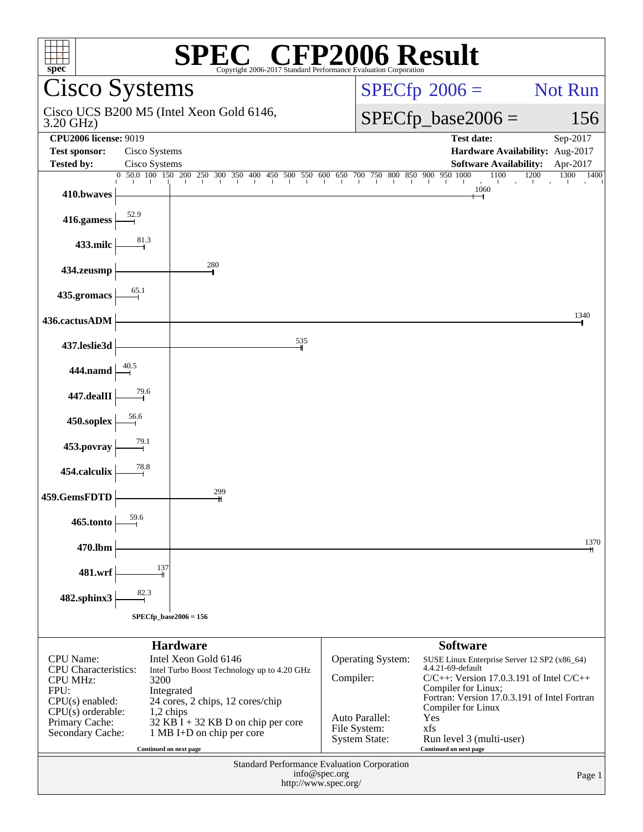| <sup>'®</sup> CFP2006 Result<br>spec®<br>Copyright 2006-2017 Standard Performance Evaluation Corporation |                        |                                                                                                                                                               |                      |                                                                      |                      |
|----------------------------------------------------------------------------------------------------------|------------------------|---------------------------------------------------------------------------------------------------------------------------------------------------------------|----------------------|----------------------------------------------------------------------|----------------------|
| Cisco Systems                                                                                            |                        |                                                                                                                                                               |                      | $SPECTp^{\circ}2006 =$                                               | Not Run              |
| Cisco UCS B200 M5 (Intel Xeon Gold 6146,<br>3.20 GHz)                                                    |                        |                                                                                                                                                               |                      | $SPECfp\_base2006 =$                                                 | 156                  |
| <b>CPU2006 license: 9019</b>                                                                             |                        |                                                                                                                                                               |                      | <b>Test date:</b>                                                    | Sep-2017             |
| <b>Test sponsor:</b>                                                                                     | Cisco Systems          |                                                                                                                                                               |                      | Hardware Availability: Aug-2017                                      |                      |
| <b>Tested by:</b>                                                                                        | Cisco Systems          |                                                                                                                                                               |                      | <b>Software Availability:</b>                                        | Apr-2017             |
|                                                                                                          |                        | $\begin{bmatrix} 0 & 50 & 0 & 100 & 150 & 200 & 250 & 300 & 350 & 400 & 450 & 500 & 550 & 600 & 650 & 700 & 750 & 800 & 850 & 900 & 950 & 1000 \end{bmatrix}$ |                      | 1100<br>and the later                                                | 1200<br>1300<br>1400 |
| 410.bwaves                                                                                               |                        |                                                                                                                                                               |                      | 1060                                                                 |                      |
| 416.gamess $\frac{52.9}{ }$                                                                              |                        |                                                                                                                                                               |                      |                                                                      |                      |
| 433.milc $\left\vert \right\vert$                                                                        |                        |                                                                                                                                                               |                      |                                                                      |                      |
| 434.zeusmp                                                                                               |                        | 280                                                                                                                                                           |                      |                                                                      |                      |
| 435.gromacs                                                                                              |                        |                                                                                                                                                               |                      |                                                                      |                      |
| 436.cactusADM                                                                                            |                        |                                                                                                                                                               |                      |                                                                      | 1340                 |
| 437.leslie3d                                                                                             |                        | 535                                                                                                                                                           |                      |                                                                      |                      |
| 444.namd $\frac{40.5}{1}$                                                                                |                        |                                                                                                                                                               |                      |                                                                      |                      |
| 447.dealII                                                                                               |                        |                                                                                                                                                               |                      |                                                                      |                      |
| $450$ .soplex $\frac{56.6}{1}$                                                                           |                        |                                                                                                                                                               |                      |                                                                      |                      |
| 453.povray                                                                                               |                        |                                                                                                                                                               |                      |                                                                      |                      |
| 454.calculix                                                                                             |                        |                                                                                                                                                               |                      |                                                                      |                      |
| 459.GemsFDTD                                                                                             |                        | 299                                                                                                                                                           |                      |                                                                      |                      |
| 465.tonto                                                                                                |                        |                                                                                                                                                               |                      |                                                                      |                      |
| 470.lbm                                                                                                  |                        |                                                                                                                                                               |                      |                                                                      | 1370                 |
| 481.wrf                                                                                                  | $\frac{137}{1}$        |                                                                                                                                                               |                      |                                                                      |                      |
| $482$ .sphinx $3$                                                                                        |                        |                                                                                                                                                               |                      |                                                                      |                      |
| $SPECfp\_base2006 = 156$                                                                                 |                        |                                                                                                                                                               |                      |                                                                      |                      |
|                                                                                                          |                        | <b>Hardware</b>                                                                                                                                               |                      | <b>Software</b>                                                      |                      |
| <b>CPU</b> Name:                                                                                         |                        | Intel Xeon Gold 6146                                                                                                                                          | Operating System:    | SUSE Linux Enterprise Server 12 SP2 (x86_64)                         |                      |
| CPU Characteristics:                                                                                     |                        | Intel Turbo Boost Technology up to 4.20 GHz                                                                                                                   |                      | 4.4.21-69-default                                                    |                      |
| <b>CPU MHz:</b><br>FPU:                                                                                  | 3200                   |                                                                                                                                                               | Compiler:            | $C/C++$ : Version 17.0.3.191 of Intel $C/C++$<br>Compiler for Linux; |                      |
| $CPU(s)$ enabled:                                                                                        |                        | Integrated<br>24 cores, 2 chips, 12 cores/chip                                                                                                                |                      | Fortran: Version 17.0.3.191 of Intel Fortran                         |                      |
| $CPU(s)$ orderable:                                                                                      | 1,2 chips              |                                                                                                                                                               | Auto Parallel:       | Compiler for Linux<br>Yes                                            |                      |
| Primary Cache:<br>Secondary Cache:                                                                       |                        | $32$ KB I + 32 KB D on chip per core<br>1 MB I+D on chip per core                                                                                             | File System:         | xfs                                                                  |                      |
|                                                                                                          |                        |                                                                                                                                                               | <b>System State:</b> | Run level 3 (multi-user)                                             |                      |
|                                                                                                          | Continued on next page |                                                                                                                                                               |                      | Continued on next page                                               |                      |
| <b>Standard Performance Evaluation Corporation</b><br>info@spec.org<br>Page 1                            |                        |                                                                                                                                                               |                      |                                                                      |                      |
|                                                                                                          | http://www.spec.org/   |                                                                                                                                                               |                      |                                                                      |                      |
|                                                                                                          |                        |                                                                                                                                                               |                      |                                                                      |                      |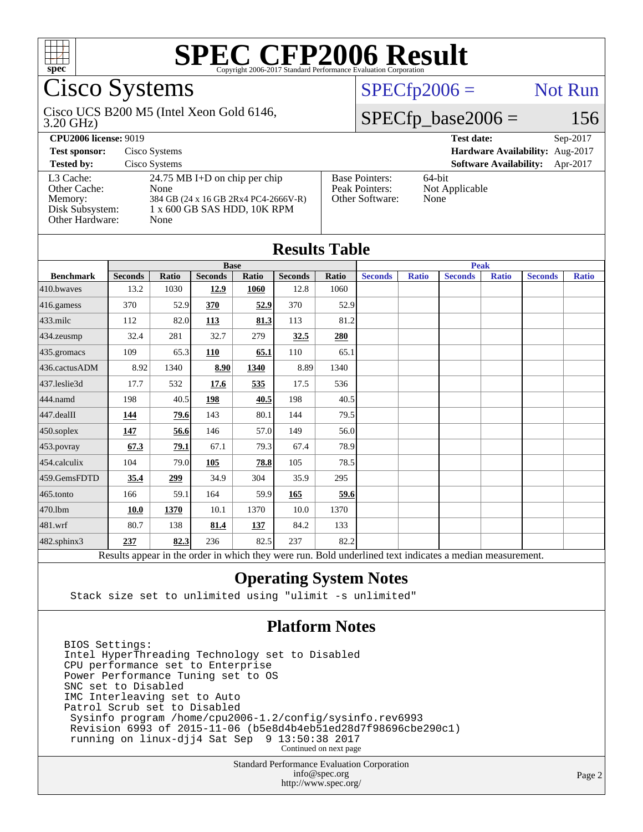

# Cisco Systems

#### 3.20 GHz) Cisco UCS B200 M5 (Intel Xeon Gold 6146,

# $SPECfp2006 =$  Not Run

### $SPECfp\_base2006 = 156$

**[CPU2006 license:](http://www.spec.org/auto/cpu2006/Docs/result-fields.html#CPU2006license)** 9019 **[Test date:](http://www.spec.org/auto/cpu2006/Docs/result-fields.html#Testdate)** Sep-2017 **[Test sponsor:](http://www.spec.org/auto/cpu2006/Docs/result-fields.html#Testsponsor)** Cisco Systems **[Hardware Availability:](http://www.spec.org/auto/cpu2006/Docs/result-fields.html#HardwareAvailability)** Aug-2017 **[Tested by:](http://www.spec.org/auto/cpu2006/Docs/result-fields.html#Testedby)** Cisco Systems **[Software Availability:](http://www.spec.org/auto/cpu2006/Docs/result-fields.html#SoftwareAvailability)** Apr-2017

[Other Cache:](http://www.spec.org/auto/cpu2006/Docs/result-fields.html#OtherCache) [Other Hardware:](http://www.spec.org/auto/cpu2006/Docs/result-fields.html#OtherHardware) None

[L3 Cache:](http://www.spec.org/auto/cpu2006/Docs/result-fields.html#L3Cache) 24.75 MB I+D on chip per chip<br>Other Cache: None [Memory:](http://www.spec.org/auto/cpu2006/Docs/result-fields.html#Memory) 384 GB (24 x 16 GB 2Rx4 PC4-2666V-R) [Disk Subsystem:](http://www.spec.org/auto/cpu2006/Docs/result-fields.html#DiskSubsystem) 1 x 600 GB SAS HDD, 10K RPM

| <b>Base Pointers:</b> |  |
|-----------------------|--|
| Peak Pointers:        |  |
| Other Software:       |  |
|                       |  |

64-bit Not Applicable None

| <b>Results Table</b> |                |              |                |       |                |       |                |              |                                                                                                          |              |                |              |
|----------------------|----------------|--------------|----------------|-------|----------------|-------|----------------|--------------|----------------------------------------------------------------------------------------------------------|--------------|----------------|--------------|
|                      | <b>Base</b>    |              |                |       | <b>Peak</b>    |       |                |              |                                                                                                          |              |                |              |
| <b>Benchmark</b>     | <b>Seconds</b> | <b>Ratio</b> | <b>Seconds</b> | Ratio | <b>Seconds</b> | Ratio | <b>Seconds</b> | <b>Ratio</b> | <b>Seconds</b>                                                                                           | <b>Ratio</b> | <b>Seconds</b> | <b>Ratio</b> |
| 410.bwayes           | 13.2           | 1030         | 12.9           | 1060  | 12.8           | 1060  |                |              |                                                                                                          |              |                |              |
| 416.gamess           | 370            | 52.9         | 370            | 52.9  | 370            | 52.9  |                |              |                                                                                                          |              |                |              |
| $433$ .milc          | 112            | 82.0         | 113            | 81.3  | 113            | 81.2  |                |              |                                                                                                          |              |                |              |
| 434.zeusmp           | 32.4           | 281          | 32.7           | 279   | 32.5           | 280   |                |              |                                                                                                          |              |                |              |
| 435.gromacs          | 109            | 65.3         | 110            | 65.1  | 110            | 65.1  |                |              |                                                                                                          |              |                |              |
| 436.cactusADM        | 8.92           | 1340         | 8.90           | 1340  | 8.89           | 1340  |                |              |                                                                                                          |              |                |              |
| 437.leslie3d         | 17.7           | 532          | 17.6           | 535   | 17.5           | 536   |                |              |                                                                                                          |              |                |              |
| 444.namd             | 198            | 40.5         | 198            | 40.5  | 198            | 40.5  |                |              |                                                                                                          |              |                |              |
| 447.dealII           | 144            | 79.6         | 143            | 80.1  | 144            | 79.5  |                |              |                                                                                                          |              |                |              |
| 450.soplex           | 147            | 56.6         | 146            | 57.0  | 149            | 56.0  |                |              |                                                                                                          |              |                |              |
| 453.povray           | 67.3           | 79.1         | 67.1           | 79.3  | 67.4           | 78.9  |                |              |                                                                                                          |              |                |              |
| 454.calculix         | 104            | 79.0         | 105            | 78.8  | 105            | 78.5  |                |              |                                                                                                          |              |                |              |
| 459.GemsFDTD         | 35.4           | 299          | 34.9           | 304   | 35.9           | 295   |                |              |                                                                                                          |              |                |              |
| 465.tonto            | 166            | 59.1         | 164            | 59.9  | 165            | 59.6  |                |              |                                                                                                          |              |                |              |
| 470.1bm              | <b>10.0</b>    | 1370         | 10.1           | 1370  | 10.0           | 1370  |                |              |                                                                                                          |              |                |              |
| 481.wrf              | 80.7           | 138          | 81.4           | 137   | 84.2           | 133   |                |              |                                                                                                          |              |                |              |
| 482.sphinx3          | 237            | 82.3         | 236            | 82.5  | 237            | 82.2  |                |              |                                                                                                          |              |                |              |
|                      |                |              |                |       |                |       |                |              | Results appear in the order in which they were run. Bold underlined text indicates a median measurement. |              |                |              |

### **[Operating System Notes](http://www.spec.org/auto/cpu2006/Docs/result-fields.html#OperatingSystemNotes)**

Stack size set to unlimited using "ulimit -s unlimited"

### **[Platform Notes](http://www.spec.org/auto/cpu2006/Docs/result-fields.html#PlatformNotes)**

BIOS Settings: Intel HyperThreading Technology set to Disabled CPU performance set to Enterprise Power Performance Tuning set to OS SNC set to Disabled IMC Interleaving set to Auto Patrol Scrub set to Disabled Sysinfo program /home/cpu2006-1.2/config/sysinfo.rev6993 Revision 6993 of 2015-11-06 (b5e8d4b4eb51ed28d7f98696cbe290c1) running on linux-djj4 Sat Sep 9 13:50:38 2017 Continued on next page

> Standard Performance Evaluation Corporation [info@spec.org](mailto:info@spec.org) <http://www.spec.org/>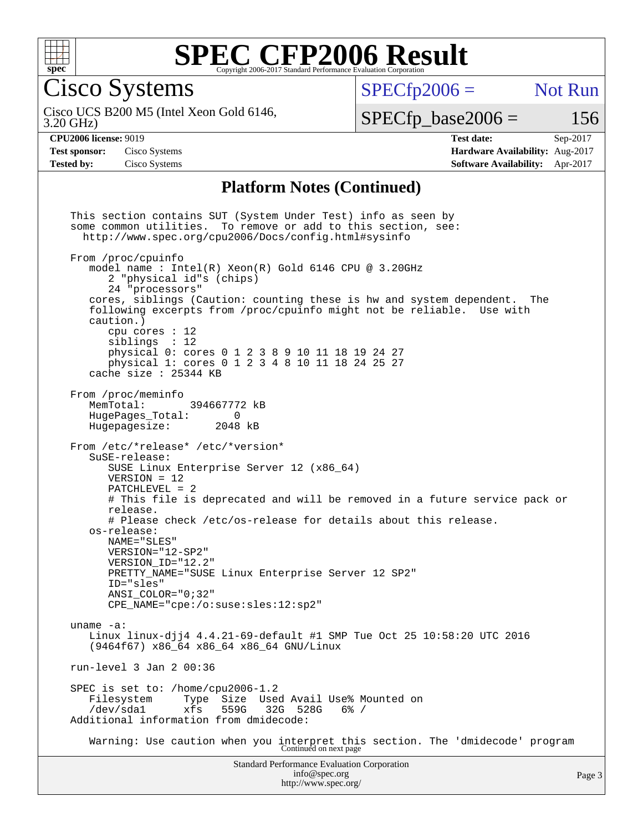

Cisco Systems

 $SPECTp2006 =$  Not Run

3.20 GHz) Cisco UCS B200 M5 (Intel Xeon Gold 6146,

 $SPECTp\_base2006 = 156$ 

**[CPU2006 license:](http://www.spec.org/auto/cpu2006/Docs/result-fields.html#CPU2006license)** 9019 **[Test date:](http://www.spec.org/auto/cpu2006/Docs/result-fields.html#Testdate)** Sep-2017 **[Test sponsor:](http://www.spec.org/auto/cpu2006/Docs/result-fields.html#Testsponsor)** Cisco Systems **[Hardware Availability:](http://www.spec.org/auto/cpu2006/Docs/result-fields.html#HardwareAvailability)** Aug-2017 **[Tested by:](http://www.spec.org/auto/cpu2006/Docs/result-fields.html#Testedby)** Cisco Systems **[Software Availability:](http://www.spec.org/auto/cpu2006/Docs/result-fields.html#SoftwareAvailability)** Apr-2017

#### **[Platform Notes \(Continued\)](http://www.spec.org/auto/cpu2006/Docs/result-fields.html#PlatformNotes)**

Standard Performance Evaluation Corporation [info@spec.org](mailto:info@spec.org) This section contains SUT (System Under Test) info as seen by some common utilities. To remove or add to this section, see: <http://www.spec.org/cpu2006/Docs/config.html#sysinfo> From /proc/cpuinfo model name : Intel(R) Xeon(R) Gold 6146 CPU @ 3.20GHz 2 "physical id"s (chips) 24 "processors" cores, siblings (Caution: counting these is hw and system dependent. The following excerpts from /proc/cpuinfo might not be reliable. Use with caution.) cpu cores : 12 siblings : 12 physical 0: cores 0 1 2 3 8 9 10 11 18 19 24 27 physical 1: cores 0 1 2 3 4 8 10 11 18 24 25 27 cache size : 25344 KB From /proc/meminfo<br>MemTotal: 394667772 kB HugePages\_Total: 0 Hugepagesize: 2048 kB From /etc/\*release\* /etc/\*version\* SuSE-release: SUSE Linux Enterprise Server 12 (x86\_64) VERSION = 12 PATCHLEVEL = 2 # This file is deprecated and will be removed in a future service pack or release. # Please check /etc/os-release for details about this release. os-release: NAME="SLES" VERSION="12-SP2" VERSION\_ID="12.2" PRETTY\_NAME="SUSE Linux Enterprise Server 12 SP2" ID="sles" ANSI\_COLOR="0;32" CPE\_NAME="cpe:/o:suse:sles:12:sp2" uname -a: Linux linux-djj4 4.4.21-69-default #1 SMP Tue Oct 25 10:58:20 UTC 2016 (9464f67) x86\_64 x86\_64 x86\_64 GNU/Linux run-level 3 Jan 2 00:36 SPEC is set to: /home/cpu2006-1.2 Filesystem Type Size Used Avail Use% Mounted on<br>/dev/sdal xfs 559G 32G 528G 6% / /dev/sda1 xfs 559G 32G 528G 6% / Additional information from dmidecode: Warning: Use caution when you interpret this section. The 'dmidecode' program Continued on next page

<http://www.spec.org/>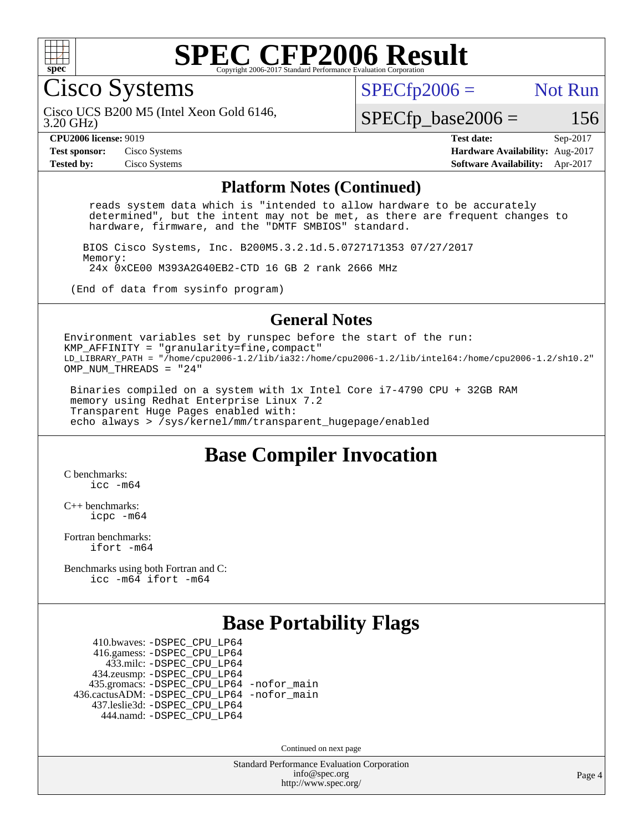

Cisco Systems

 $SPECTp2006 =$  Not Run

3.20 GHz) Cisco UCS B200 M5 (Intel Xeon Gold 6146,

 $SPECTp\_base2006 = 156$ 

**[CPU2006 license:](http://www.spec.org/auto/cpu2006/Docs/result-fields.html#CPU2006license)** 9019 **[Test date:](http://www.spec.org/auto/cpu2006/Docs/result-fields.html#Testdate)** Sep-2017 **[Test sponsor:](http://www.spec.org/auto/cpu2006/Docs/result-fields.html#Testsponsor)** Cisco Systems **[Hardware Availability:](http://www.spec.org/auto/cpu2006/Docs/result-fields.html#HardwareAvailability)** Aug-2017 **[Tested by:](http://www.spec.org/auto/cpu2006/Docs/result-fields.html#Testedby)** Cisco Systems **[Software Availability:](http://www.spec.org/auto/cpu2006/Docs/result-fields.html#SoftwareAvailability)** Apr-2017

#### **[Platform Notes \(Continued\)](http://www.spec.org/auto/cpu2006/Docs/result-fields.html#PlatformNotes)**

 reads system data which is "intended to allow hardware to be accurately determined", but the intent may not be met, as there are frequent changes to hardware, firmware, and the "DMTF SMBIOS" standard.

 BIOS Cisco Systems, Inc. B200M5.3.2.1d.5.0727171353 07/27/2017 Memory: 24x 0xCE00 M393A2G40EB2-CTD 16 GB 2 rank 2666 MHz

(End of data from sysinfo program)

#### **[General Notes](http://www.spec.org/auto/cpu2006/Docs/result-fields.html#GeneralNotes)**

Environment variables set by runspec before the start of the run: KMP AFFINITY = "granularity=fine, compact" LD\_LIBRARY\_PATH = "/home/cpu2006-1.2/lib/ia32:/home/cpu2006-1.2/lib/intel64:/home/cpu2006-1.2/sh10.2" OMP NUM THREADS = "24"

 Binaries compiled on a system with 1x Intel Core i7-4790 CPU + 32GB RAM memory using Redhat Enterprise Linux 7.2 Transparent Huge Pages enabled with: echo always > /sys/kernel/mm/transparent\_hugepage/enabled

### **[Base Compiler Invocation](http://www.spec.org/auto/cpu2006/Docs/result-fields.html#BaseCompilerInvocation)**

[C benchmarks](http://www.spec.org/auto/cpu2006/Docs/result-fields.html#Cbenchmarks): [icc -m64](http://www.spec.org/cpu2006/results/res2017q4/cpu2006-20170919-50211.flags.html#user_CCbase_intel_icc_64bit_bda6cc9af1fdbb0edc3795bac97ada53)

[C++ benchmarks:](http://www.spec.org/auto/cpu2006/Docs/result-fields.html#CXXbenchmarks) [icpc -m64](http://www.spec.org/cpu2006/results/res2017q4/cpu2006-20170919-50211.flags.html#user_CXXbase_intel_icpc_64bit_fc66a5337ce925472a5c54ad6a0de310)

[Fortran benchmarks](http://www.spec.org/auto/cpu2006/Docs/result-fields.html#Fortranbenchmarks): [ifort -m64](http://www.spec.org/cpu2006/results/res2017q4/cpu2006-20170919-50211.flags.html#user_FCbase_intel_ifort_64bit_ee9d0fb25645d0210d97eb0527dcc06e)

[Benchmarks using both Fortran and C](http://www.spec.org/auto/cpu2006/Docs/result-fields.html#BenchmarksusingbothFortranandC): [icc -m64](http://www.spec.org/cpu2006/results/res2017q4/cpu2006-20170919-50211.flags.html#user_CC_FCbase_intel_icc_64bit_bda6cc9af1fdbb0edc3795bac97ada53) [ifort -m64](http://www.spec.org/cpu2006/results/res2017q4/cpu2006-20170919-50211.flags.html#user_CC_FCbase_intel_ifort_64bit_ee9d0fb25645d0210d97eb0527dcc06e)

### **[Base Portability Flags](http://www.spec.org/auto/cpu2006/Docs/result-fields.html#BasePortabilityFlags)**

 410.bwaves: [-DSPEC\\_CPU\\_LP64](http://www.spec.org/cpu2006/results/res2017q4/cpu2006-20170919-50211.flags.html#suite_basePORTABILITY410_bwaves_DSPEC_CPU_LP64) 416.gamess: [-DSPEC\\_CPU\\_LP64](http://www.spec.org/cpu2006/results/res2017q4/cpu2006-20170919-50211.flags.html#suite_basePORTABILITY416_gamess_DSPEC_CPU_LP64) 433.milc: [-DSPEC\\_CPU\\_LP64](http://www.spec.org/cpu2006/results/res2017q4/cpu2006-20170919-50211.flags.html#suite_basePORTABILITY433_milc_DSPEC_CPU_LP64) 434.zeusmp: [-DSPEC\\_CPU\\_LP64](http://www.spec.org/cpu2006/results/res2017q4/cpu2006-20170919-50211.flags.html#suite_basePORTABILITY434_zeusmp_DSPEC_CPU_LP64) 435.gromacs: [-DSPEC\\_CPU\\_LP64](http://www.spec.org/cpu2006/results/res2017q4/cpu2006-20170919-50211.flags.html#suite_basePORTABILITY435_gromacs_DSPEC_CPU_LP64) [-nofor\\_main](http://www.spec.org/cpu2006/results/res2017q4/cpu2006-20170919-50211.flags.html#user_baseLDPORTABILITY435_gromacs_f-nofor_main) 436.cactusADM: [-DSPEC\\_CPU\\_LP64](http://www.spec.org/cpu2006/results/res2017q4/cpu2006-20170919-50211.flags.html#suite_basePORTABILITY436_cactusADM_DSPEC_CPU_LP64) [-nofor\\_main](http://www.spec.org/cpu2006/results/res2017q4/cpu2006-20170919-50211.flags.html#user_baseLDPORTABILITY436_cactusADM_f-nofor_main) 437.leslie3d: [-DSPEC\\_CPU\\_LP64](http://www.spec.org/cpu2006/results/res2017q4/cpu2006-20170919-50211.flags.html#suite_basePORTABILITY437_leslie3d_DSPEC_CPU_LP64) 444.namd: [-DSPEC\\_CPU\\_LP64](http://www.spec.org/cpu2006/results/res2017q4/cpu2006-20170919-50211.flags.html#suite_basePORTABILITY444_namd_DSPEC_CPU_LP64)

Continued on next page

Standard Performance Evaluation Corporation [info@spec.org](mailto:info@spec.org) <http://www.spec.org/>